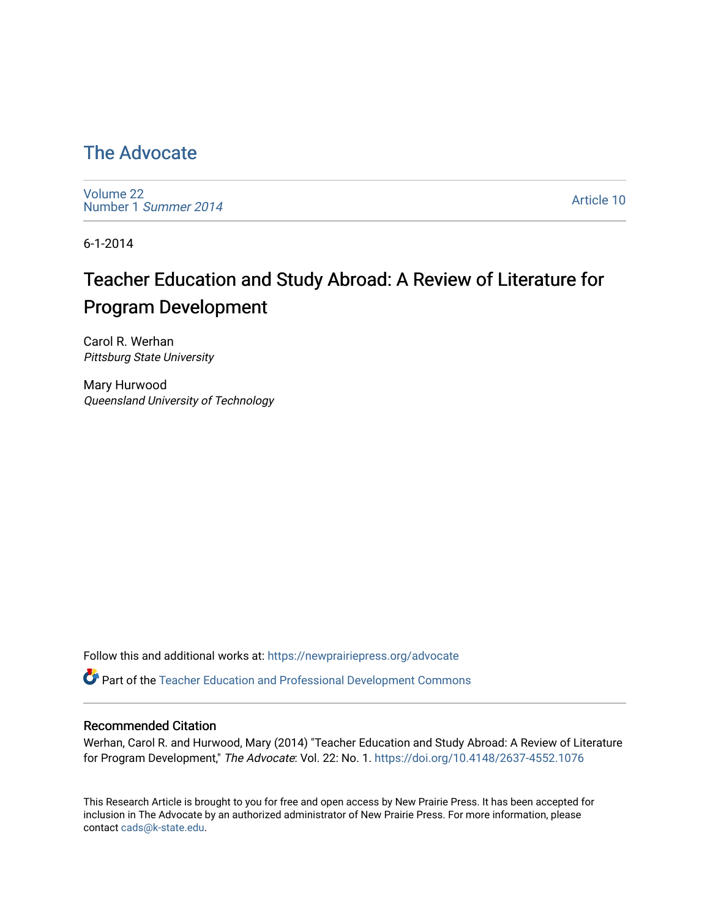## [The Advocate](https://newprairiepress.org/advocate)

[Volume 22](https://newprairiepress.org/advocate/vol22) [Number 1](https://newprairiepress.org/advocate/vol22/iss1) Summer 2014

[Article 10](https://newprairiepress.org/advocate/vol22/iss1/10) 

6-1-2014

# Teacher Education and Study Abroad: A Review of Literature for Program Development

Carol R. Werhan Pittsburg State University

Mary Hurwood Queensland University of Technology

Follow this and additional works at: [https://newprairiepress.org/advocate](https://newprairiepress.org/advocate?utm_source=newprairiepress.org%2Fadvocate%2Fvol22%2Fiss1%2F10&utm_medium=PDF&utm_campaign=PDFCoverPages) 

Part of the [Teacher Education and Professional Development Commons](http://network.bepress.com/hgg/discipline/803?utm_source=newprairiepress.org%2Fadvocate%2Fvol22%2Fiss1%2F10&utm_medium=PDF&utm_campaign=PDFCoverPages) 

#### Recommended Citation

Werhan, Carol R. and Hurwood, Mary (2014) "Teacher Education and Study Abroad: A Review of Literature for Program Development," The Advocate: Vol. 22: No. 1.<https://doi.org/10.4148/2637-4552.1076>

This Research Article is brought to you for free and open access by New Prairie Press. It has been accepted for inclusion in The Advocate by an authorized administrator of New Prairie Press. For more information, please contact [cads@k-state.edu](mailto:cads@k-state.edu).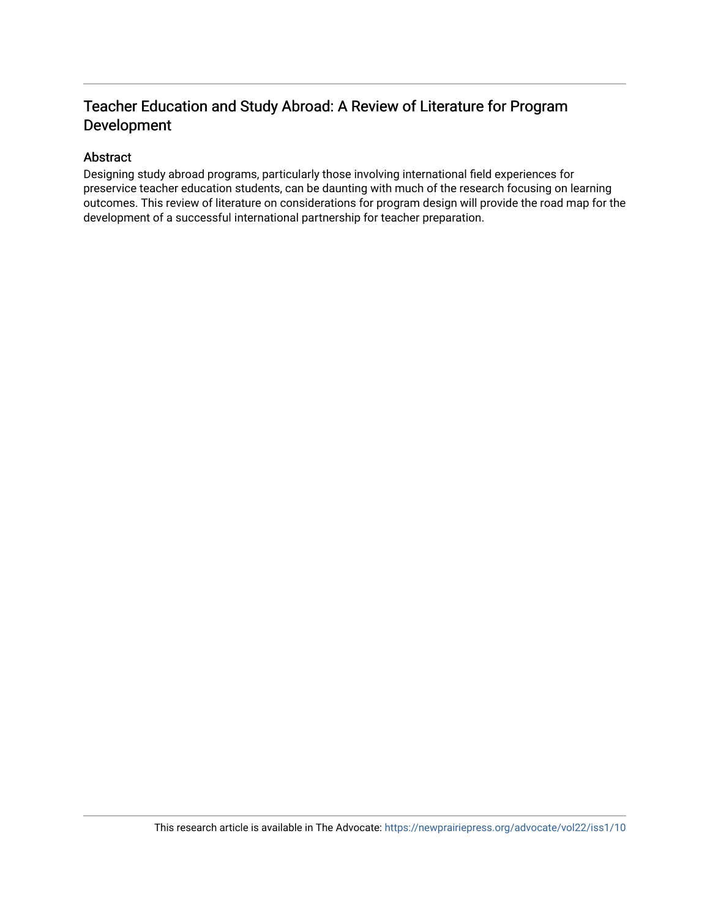### Teacher Education and Study Abroad: A Review of Literature for Program Development

### Abstract

Designing study abroad programs, particularly those involving international field experiences for preservice teacher education students, can be daunting with much of the research focusing on learning outcomes. This review of literature on considerations for program design will provide the road map for the development of a successful international partnership for teacher preparation.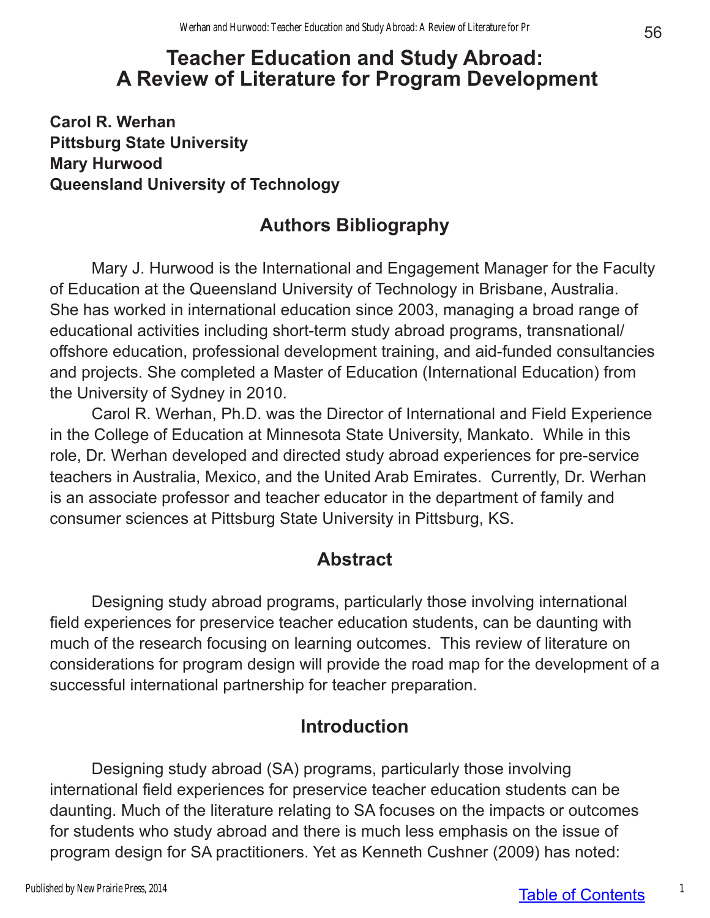# **Teacher Education and Study Abroad: A Review of Literature for Program Development**

**Carol R. Werhan Pittsburg State University Mary Hurwood Queensland University of Technology**

# **Authors Bibliography**

Mary J. Hurwood is the International and Engagement Manager for the Faculty of Education at the Queensland University of Technology in Brisbane, Australia. She has worked in international education since 2003, managing a broad range of educational activities including short-term study abroad programs, transnational/ offshore education, professional development training, and aid-funded consultancies and projects. She completed a Master of Education (International Education) from the University of Sydney in 2010.

Carol R. Werhan, Ph.D. was the Director of International and Field Experience in the College of Education at Minnesota State University, Mankato. While in this role, Dr. Werhan developed and directed study abroad experiences for pre-service teachers in Australia, Mexico, and the United Arab Emirates. Currently, Dr. Werhan is an associate professor and teacher educator in the department of family and consumer sciences at Pittsburg State University in Pittsburg, KS.

## **Abstract**

Designing study abroad programs, particularly those involving international field experiences for preservice teacher education students, can be daunting with much of the research focusing on learning outcomes. This review of literature on considerations for program design will provide the road map for the development of a successful international partnership for teacher preparation.

## **Introduction**

Designing study abroad (SA) programs, particularly those involving international field experiences for preservice teacher education students can be daunting. Much of the literature relating to SA focuses on the impacts or outcomes for students who study abroad and there is much less emphasis on the issue of program design for SA practitioners. Yet as Kenneth Cushner (2009) has noted: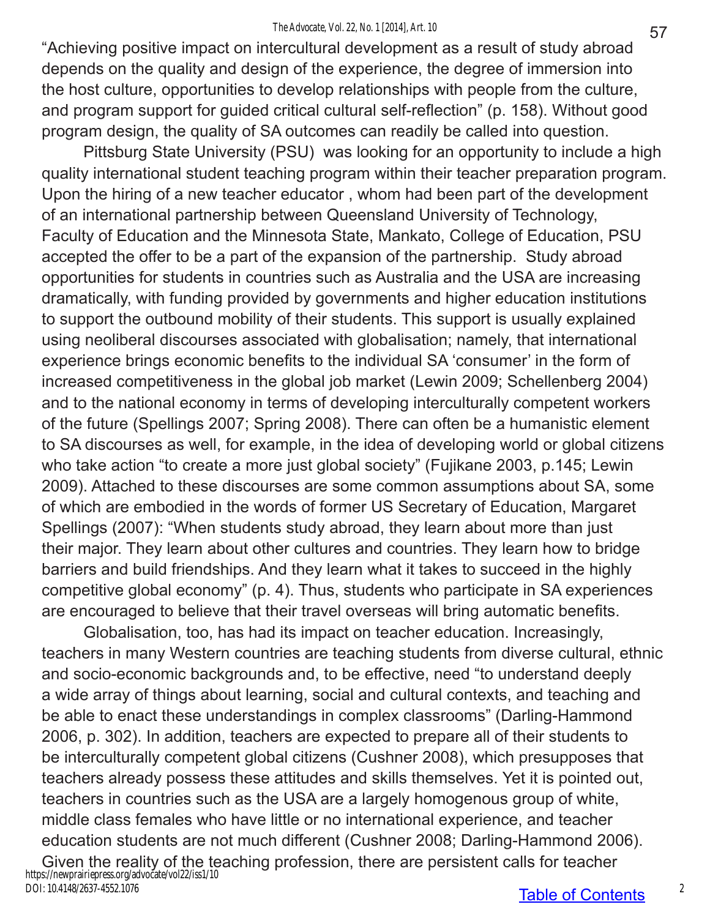#### *The Advocate, Vol. 22, No. 1 [2014], Art. 10*

"Achieving positive impact on intercultural development as a result of study abroad depends on the quality and design of the experience, the degree of immersion into the host culture, opportunities to develop relationships with people from the culture, and program support for guided critical cultural self-reflection" (p. 158). Without good program design, the quality of SA outcomes can readily be called into question.

Pittsburg State University (PSU) was looking for an opportunity to include a high quality international student teaching program within their teacher preparation program. Upon the hiring of a new teacher educator , whom had been part of the development of an international partnership between Queensland University of Technology, Faculty of Education and the Minnesota State, Mankato, College of Education, PSU accepted the offer to be a part of the expansion of the partnership. Study abroad opportunities for students in countries such as Australia and the USA are increasing dramatically, with funding provided by governments and higher education institutions to support the outbound mobility of their students. This support is usually explained using neoliberal discourses associated with globalisation; namely, that international experience brings economic benefits to the individual SA 'consumer' in the form of increased competitiveness in the global job market (Lewin 2009; Schellenberg 2004) and to the national economy in terms of developing interculturally competent workers of the future (Spellings 2007; Spring 2008). There can often be a humanistic element to SA discourses as well, for example, in the idea of developing world or global citizens who take action "to create a more just global society" (Fujikane 2003, p.145; Lewin 2009). Attached to these discourses are some common assumptions about SA, some of which are embodied in the words of former US Secretary of Education, Margaret Spellings (2007): "When students study abroad, they learn about more than just their major. They learn about other cultures and countries. They learn how to bridge barriers and build friendships. And they learn what it takes to succeed in the highly competitive global economy" (p. 4). Thus, students who participate in SA experiences are encouraged to believe that their travel overseas will bring automatic benefits.

Globalisation, too, has had its impact on teacher education. Increasingly, teachers in many Western countries are teaching students from diverse cultural, ethnic and socio-economic backgrounds and, to be effective, need "to understand deeply a wide array of things about learning, social and cultural contexts, and teaching and be able to enact these understandings in complex classrooms" (Darling-Hammond 2006, p. 302). In addition, teachers are expected to prepare all of their students to be interculturally competent global citizens (Cushner 2008), which presupposes that teachers already possess these attitudes and skills themselves. Yet it is pointed out, teachers in countries such as the USA are a largely homogenous group of white, middle class females who have little or no international experience, and teacher education students are not much different (Cushner 2008; Darling-Hammond 2006). Given the reality of the teaching profession, there are persistent calls for teacher https://newprairiepress.org/advocate/vol22/iss1/10 DOI: 10.4148/2637-4552.1076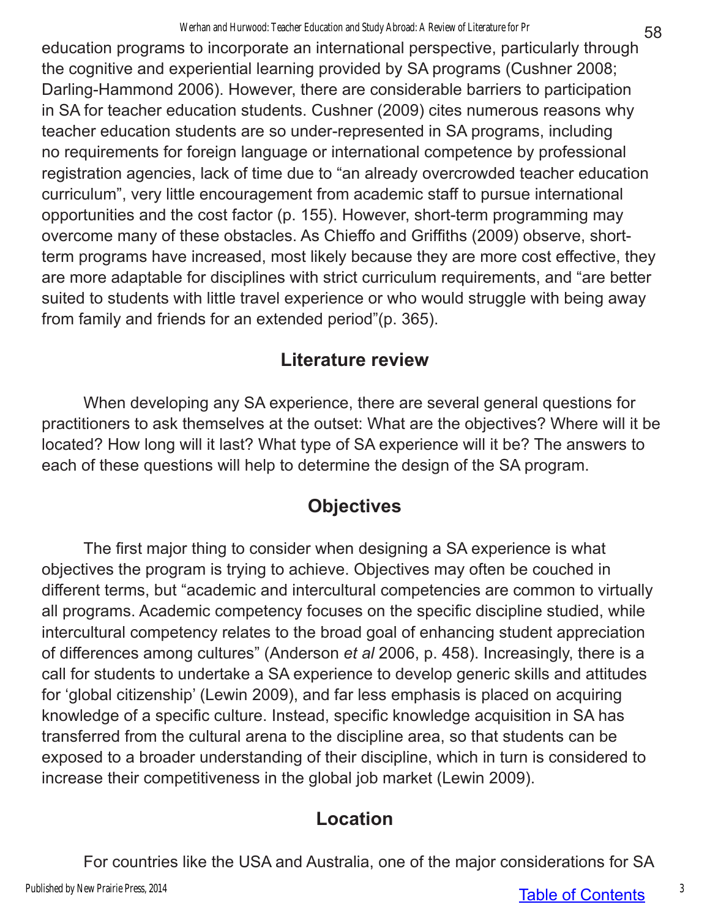education programs to incorporate an international perspective, particularly through the cognitive and experiential learning provided by SA programs (Cushner 2008; Darling-Hammond 2006). However, there are considerable barriers to participation in SA for teacher education students. Cushner (2009) cites numerous reasons why teacher education students are so under-represented in SA programs, including no requirements for foreign language or international competence by professional registration agencies, lack of time due to "an already overcrowded teacher education curriculum", very little encouragement from academic staff to pursue international opportunities and the cost factor (p. 155). However, short-term programming may overcome many of these obstacles. As Chieffo and Griffiths (2009) observe, shortterm programs have increased, most likely because they are more cost effective, they are more adaptable for disciplines with strict curriculum requirements, and "are better suited to students with little travel experience or who would struggle with being away from family and friends for an extended period"(p. 365).

## **Literature review**

When developing any SA experience, there are several general questions for practitioners to ask themselves at the outset: What are the objectives? Where will it be located? How long will it last? What type of SA experience will it be? The answers to each of these questions will help to determine the design of the SA program.

# **Objectives**

The first major thing to consider when designing a SA experience is what objectives the program is trying to achieve. Objectives may often be couched in different terms, but "academic and intercultural competencies are common to virtually all programs. Academic competency focuses on the specific discipline studied, while intercultural competency relates to the broad goal of enhancing student appreciation of differences among cultures" (Anderson *et al* 2006, p. 458). Increasingly, there is a call for students to undertake a SA experience to develop generic skills and attitudes for 'global citizenship' (Lewin 2009), and far less emphasis is placed on acquiring knowledge of a specific culture. Instead, specific knowledge acquisition in SA has transferred from the cultural arena to the discipline area, so that students can be exposed to a broader understanding of their discipline, which in turn is considered to increase their competitiveness in the global job market (Lewin 2009).

# **Location**

For countries like the USA and Australia, one of the major considerations for SA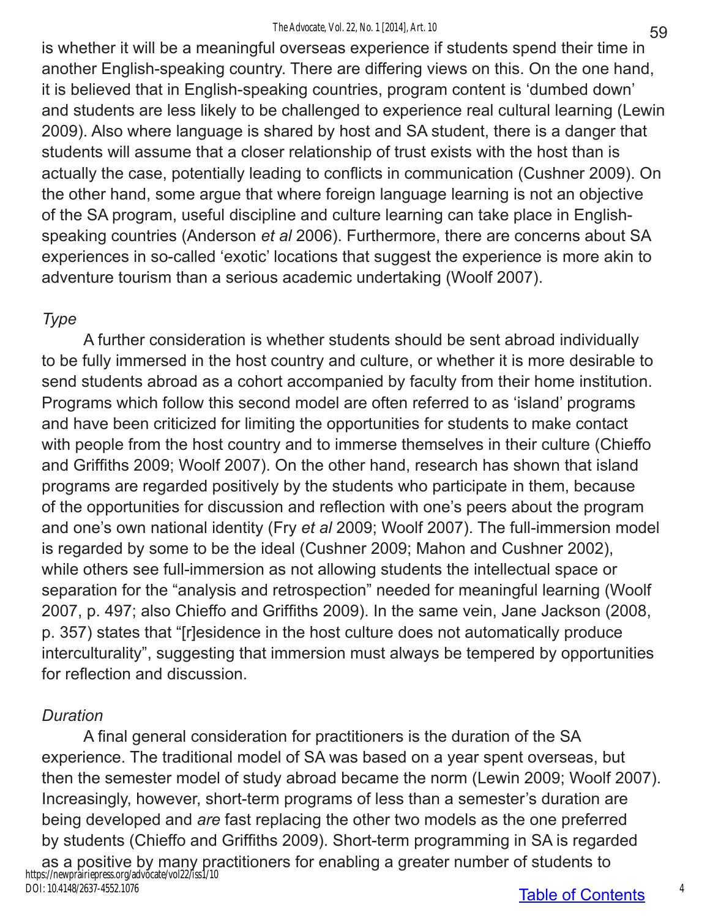#### *The Advocate, Vol. 22, No. 1 [2014], Art. 10*

is whether it will be a meaningful overseas experience if students spend their time in another English-speaking country. There are differing views on this. On the one hand, it is believed that in English-speaking countries, program content is 'dumbed down' and students are less likely to be challenged to experience real cultural learning (Lewin 2009). Also where language is shared by host and SA student, there is a danger that students will assume that a closer relationship of trust exists with the host than is actually the case, potentially leading to conflicts in communication (Cushner 2009). On the other hand, some argue that where foreign language learning is not an objective of the SA program, useful discipline and culture learning can take place in Englishspeaking countries (Anderson *et al* 2006). Furthermore, there are concerns about SA experiences in so-called 'exotic' locations that suggest the experience is more akin to adventure tourism than a serious academic undertaking (Woolf 2007).

### *Type*

A further consideration is whether students should be sent abroad individually to be fully immersed in the host country and culture, or whether it is more desirable to send students abroad as a cohort accompanied by faculty from their home institution. Programs which follow this second model are often referred to as 'island' programs and have been criticized for limiting the opportunities for students to make contact with people from the host country and to immerse themselves in their culture (Chieffo and Griffiths 2009; Woolf 2007). On the other hand, research has shown that island programs are regarded positively by the students who participate in them, because of the opportunities for discussion and reflection with one's peers about the program and one's own national identity (Fry *et al* 2009; Woolf 2007). The full-immersion model is regarded by some to be the ideal (Cushner 2009; Mahon and Cushner 2002), while others see full-immersion as not allowing students the intellectual space or separation for the "analysis and retrospection" needed for meaningful learning (Woolf 2007, p. 497; also Chieffo and Griffiths 2009). In the same vein, Jane Jackson (2008, p. 357) states that "[r]esidence in the host culture does not automatically produce interculturality", suggesting that immersion must always be tempered by opportunities for reflection and discussion.

## *Duration*

A final general consideration for practitioners is the duration of the SA experience. The traditional model of SA was based on a year spent overseas, but then the semester model of study abroad became the norm (Lewin 2009; Woolf 2007). Increasingly, however, short-term programs of less than a semester's duration are being developed and *are* fast replacing the other two models as the one preferred by students (Chieffo and Griffiths 2009). Short-term programming in SA is regarded as a positive by many practitioners for enabling a greater number of students to https://newprairiepress.org/advocate/vol22/iss1/10 DOI: 10.4148/2637-4552.1076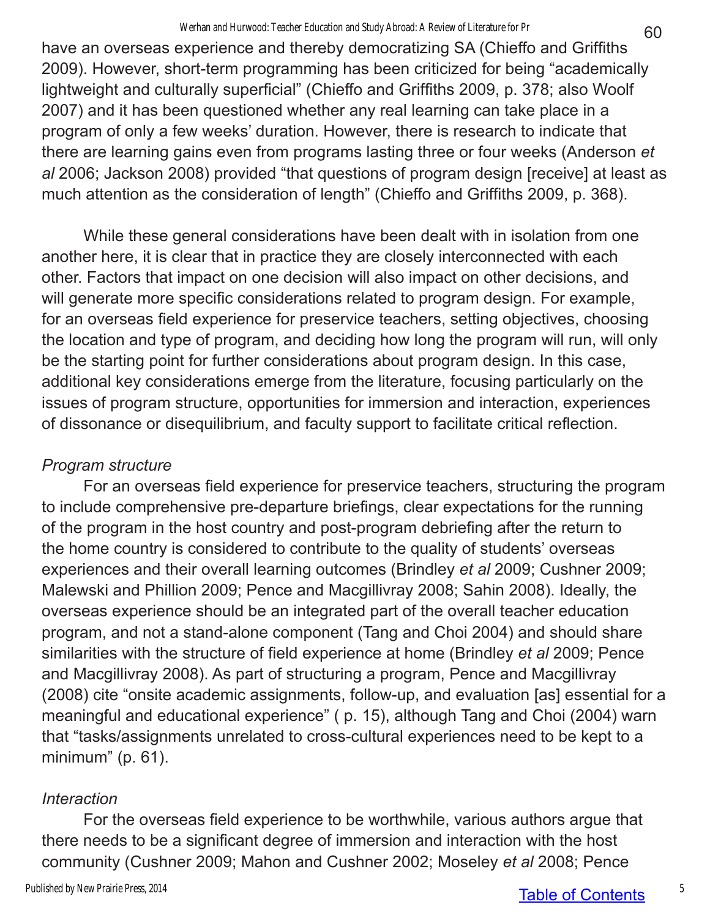have an overseas experience and thereby democratizing SA (Chieffo and Griffiths 2009). However, short-term programming has been criticized for being "academically lightweight and culturally superficial" (Chieffo and Griffiths 2009, p. 378; also Woolf 2007) and it has been questioned whether any real learning can take place in a program of only a few weeks' duration. However, there is research to indicate that there are learning gains even from programs lasting three or four weeks (Anderson *et al* 2006; Jackson 2008) provided "that questions of program design [receive] at least as much attention as the consideration of length" (Chieffo and Griffiths 2009, p. 368).

While these general considerations have been dealt with in isolation from one another here, it is clear that in practice they are closely interconnected with each other. Factors that impact on one decision will also impact on other decisions, and will generate more specific considerations related to program design. For example, for an overseas field experience for preservice teachers, setting objectives, choosing the location and type of program, and deciding how long the program will run, will only be the starting point for further considerations about program design. In this case, additional key considerations emerge from the literature, focusing particularly on the issues of program structure, opportunities for immersion and interaction, experiences of dissonance or disequilibrium, and faculty support to facilitate critical reflection.

## *Program structure*

For an overseas field experience for preservice teachers, structuring the program to include comprehensive pre-departure briefings, clear expectations for the running of the program in the host country and post-program debriefing after the return to the home country is considered to contribute to the quality of students' overseas experiences and their overall learning outcomes (Brindley *et al* 2009; Cushner 2009; Malewski and Phillion 2009; Pence and Macgillivray 2008; Sahin 2008). Ideally, the overseas experience should be an integrated part of the overall teacher education program, and not a stand-alone component (Tang and Choi 2004) and should share similarities with the structure of field experience at home (Brindley *et al* 2009; Pence and Macgillivray 2008). As part of structuring a program, Pence and Macgillivray (2008) cite "onsite academic assignments, follow-up, and evaluation [as] essential for a meaningful and educational experience" ( p. 15), although Tang and Choi (2004) warn that "tasks/assignments unrelated to cross-cultural experiences need to be kept to a minimum" (p. 61).

## *Interaction*

For the overseas field experience to be worthwhile, various authors argue that there needs to be a significant degree of immersion and interaction with the host community (Cushner 2009; Mahon and Cushner 2002; Moseley *et al* 2008; Pence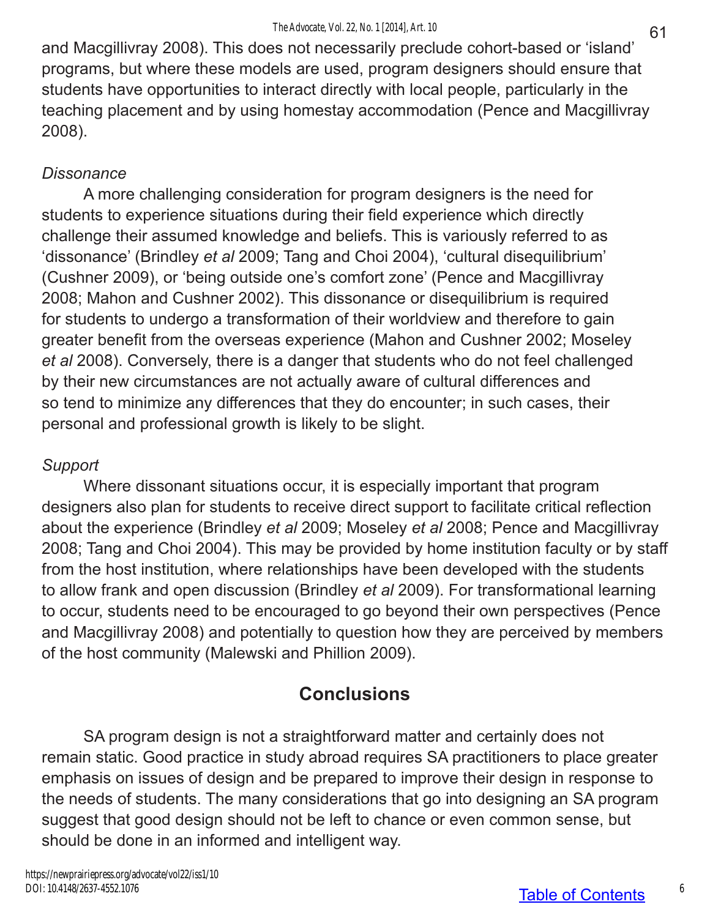and Macgillivray 2008). This does not necessarily preclude cohort-based or 'island' programs, but where these models are used, program designers should ensure that students have opportunities to interact directly with local people, particularly in the teaching placement and by using homestay accommodation (Pence and Macgillivray 2008).

## *Dissonance*

A more challenging consideration for program designers is the need for students to experience situations during their field experience which directly challenge their assumed knowledge and beliefs. This is variously referred to as 'dissonance' (Brindley *et al* 2009; Tang and Choi 2004), 'cultural disequilibrium' (Cushner 2009), or 'being outside one's comfort zone' (Pence and Macgillivray 2008; Mahon and Cushner 2002). This dissonance or disequilibrium is required for students to undergo a transformation of their worldview and therefore to gain greater benefit from the overseas experience (Mahon and Cushner 2002; Moseley *et al* 2008). Conversely, there is a danger that students who do not feel challenged by their new circumstances are not actually aware of cultural differences and so tend to minimize any differences that they do encounter; in such cases, their personal and professional growth is likely to be slight.

## *Support*

Where dissonant situations occur, it is especially important that program designers also plan for students to receive direct support to facilitate critical reflection about the experience (Brindley *et al* 2009; Moseley *et al* 2008; Pence and Macgillivray 2008; Tang and Choi 2004). This may be provided by home institution faculty or by staff from the host institution, where relationships have been developed with the students to allow frank and open discussion (Brindley *et al* 2009). For transformational learning to occur, students need to be encouraged to go beyond their own perspectives (Pence and Macgillivray 2008) and potentially to question how they are perceived by members of the host community (Malewski and Phillion 2009).

# **Conclusions**

SA program design is not a straightforward matter and certainly does not remain static. Good practice in study abroad requires SA practitioners to place greater emphasis on issues of design and be prepared to improve their design in response to the needs of students. The many considerations that go into designing an SA program suggest that good design should not be left to chance or even common sense, but should be done in an informed and intelligent way.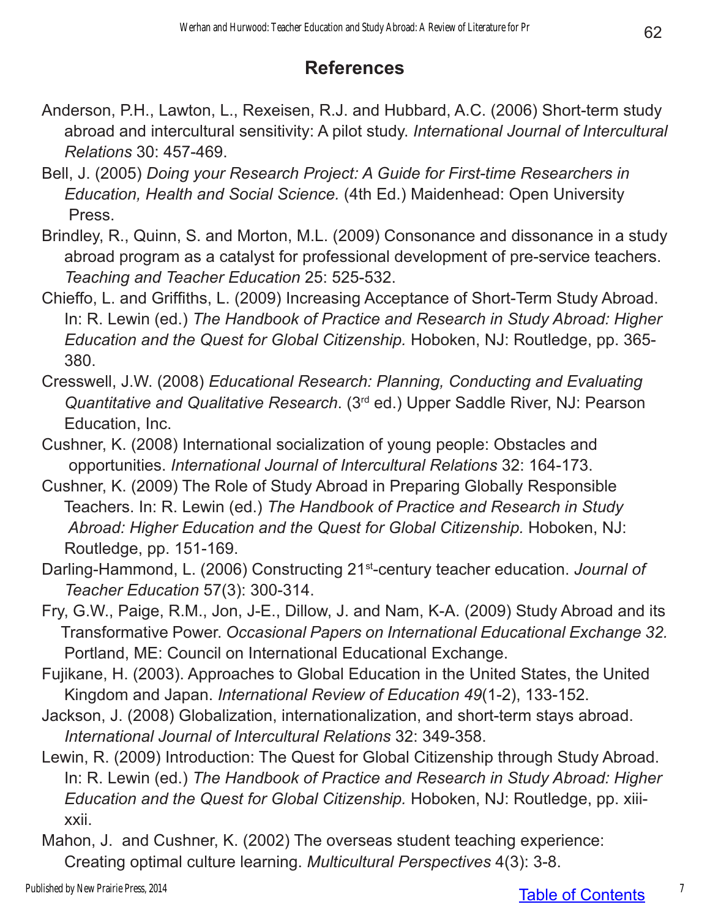# **References**

- Anderson, P.H., Lawton, L., Rexeisen, R.J. and Hubbard, A.C. (2006) Short-term study abroad and intercultural sensitivity: A pilot study. *International Journal of Intercultural Relations* 30: 457-469.
- Bell, J. (2005) *Doing your Research Project: A Guide for First-time Researchers in Education, Health and Social Science.* (4th Ed.) Maidenhead: Open University Press.
- Brindley, R., Quinn, S. and Morton, M.L. (2009) Consonance and dissonance in a study abroad program as a catalyst for professional development of pre-service teachers. *Teaching and Teacher Education* 25: 525-532.
- Chieffo, L. and Griffiths, L. (2009) Increasing Acceptance of Short-Term Study Abroad. In: R. Lewin (ed.) *The Handbook of Practice and Research in Study Abroad: Higher Education and the Quest for Global Citizenship.* Hoboken, NJ: Routledge, pp. 365- 380.
- Cresswell, J.W. (2008) *Educational Research: Planning, Conducting and Evaluating Quantitative and Qualitative Research*. (3rd ed.) Upper Saddle River, NJ: Pearson Education, Inc.
- Cushner, K. (2008) International socialization of young people: Obstacles and opportunities. *International Journal of Intercultural Relations* 32: 164-173.
- Cushner, K. (2009) The Role of Study Abroad in Preparing Globally Responsible Teachers. In: R. Lewin (ed.) *The Handbook of Practice and Research in Study Abroad: Higher Education and the Quest for Global Citizenship.* Hoboken, NJ: Routledge, pp. 151-169.
- Darling-Hammond, L. (2006) Constructing 21st-century teacher education. *Journal of Teacher Education* 57(3): 300-314.
- Fry, G.W., Paige, R.M., Jon, J-E., Dillow, J. and Nam, K-A. (2009) Study Abroad and its Transformative Power. *Occasional Papers on International Educational Exchange 32.* Portland, ME: Council on International Educational Exchange.
- Fujikane, H. (2003). Approaches to Global Education in the United States, the United Kingdom and Japan. *International Review of Education 49*(1-2), 133-152.
- Jackson, J. (2008) Globalization, internationalization, and short-term stays abroad. *International Journal of Intercultural Relations* 32: 349-358.
- Lewin, R. (2009) Introduction: The Quest for Global Citizenship through Study Abroad. In: R. Lewin (ed.) *The Handbook of Practice and Research in Study Abroad: Higher Education and the Quest for Global Citizenship.* Hoboken, NJ: Routledge, pp. xiii xxii.
- Mahon, J. and Cushner, K. (2002) The overseas student teaching experience: Creating optimal culture learning. *Multicultural Perspectives* 4(3): 3-8.